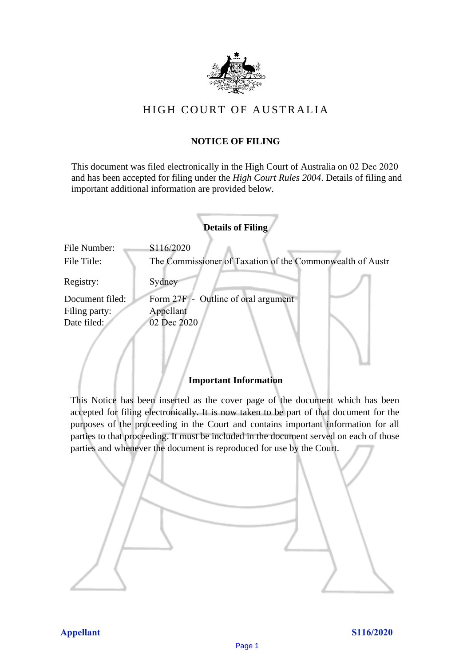

# HIGH COURT OF AU STRALIA HIGH COURT OF AUSTRALIA

# **NOTICE OF FILING** NOTICE OF FILING

This document was filed electronically in the High Court of Australia on 02 Dec 2020 This document was filed electronically in the High Court of Australia <sup>20</sup> and has been accepted for filing under the *High Court Rules 2004*. Details of filing and important additional information are provided below. important additional information are provided below.

|                 | <b>Details of Filing</b>                                  |
|-----------------|-----------------------------------------------------------|
| File Number:    | S116/2020                                                 |
| File Title:     | The Commissioner of Taxation of the Commonwealth of Austr |
| Registry:       | Sydney                                                    |
| Document filed: | Form 27F - Outline of oral argument                       |
| Filing party:   | Appellant                                                 |
| Date filed:     | 02 Dec 2020                                               |
|                 |                                                           |

## **Important Information** Important Information

This Notice has been inserted as the cover page of the document which has been accepted for filing electronically. It is now taken to be part of that document for the purposes of the proceeding in the Court and contains important information for all parties to that proceeding. It must be included in the document served on each of those parties and whenever the document is reproduced for use by the Court. parties and whenever the document is reproduced for use by the Court

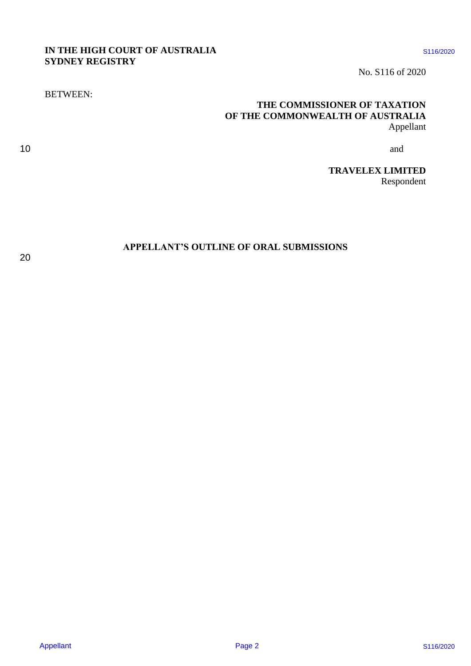## **IN THE HIGH COURT OF AUSTRALIA** \$116/2020 **SYDNEY REGISTRY** SYDNEY REGISTRY

No. S116 of 2020 No. \$116 of 2020

# **THE COMMISSIONER OF TAXATION** THE COMMISSIONER OF TAXATION **OF THE COMMONWEALTH OF AUSTRALIA** OF THE COMMONWEALTH OF AUSTRALIA Appellant Appellant A HE DUNINESSIDNER OF THE COMMUNISHONER OF TAX-TIDY<br>
SIDNER REGISTRY<br>
STRUCTURE COMMUNISHONER OF TAX-TIDY<br>  $\frac{1}{\text{APF}}$ <br>
THE COMMUNISHONER OF TAX-TIDY<br>  $\frac{1}{\text{APF}}$ <br>
TRAVELES LIMITED<br>
TRAVELES LIMITED<br>  $\frac{1}{\text{Rapppnolen}}$ <br>

10 and and the contract of the contract of the contract of the contract of the contract of the contract of the contract of the contract of the contract of the contract of the contract of the contract of the contract of the 10 and  $\alpha$  and  $\alpha$  and  $\alpha$  and  $\alpha$  and  $\alpha$  and  $\alpha$  and  $\alpha$  and  $\alpha$  and  $\alpha$  and  $\alpha$  and  $\alpha$  and  $\alpha$  and  $\alpha$  and  $\alpha$  and  $\alpha$  and  $\alpha$  and  $\alpha$  and  $\alpha$  and  $\alpha$  and  $\alpha$  and  $\alpha$  and  $\alpha$  and  $\alpha$  and  $\alpha$  an

> **TRAVELEX LIMITED** TRAVELEX LIMITED Respondent Respondent

## **APPELLANT'S OUTLINE OF ORAL SUBMISSIONS** APPELLANT'S OUTLINE OF ORAL SUBMISSIONS

BETWEEN: BETWEEN: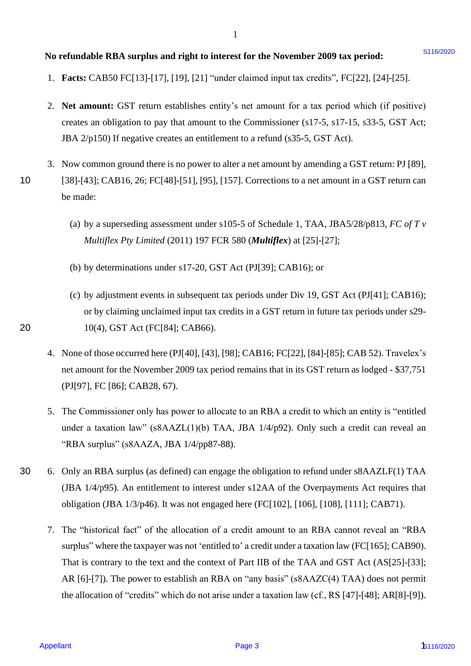## No refundable RBA surplus and right to interest for the November 2009 tax period: **\$116/2020**

- 1. **Facts:** CAB50 FC[13]-[17], [19], [21] "under claimed input tax credits", FC[22], [24]-[25]. 1. Facts: CAB5SO FC[13]-[17], [19], [21] "under claimed input tax credits", FC[22], [24]-[25].
- 2. **Net amount:** GST return establishes entity's net amount for a tax period which (if positive) 2. Net amount: GST return establishes entity's net amount for <sup>a</sup> tax period which (if positive) creates an obligation to pay that amount to the Commissioner (s17-5, s17-15, s33-5, GST Act; creates an obligation to pay that amount to the Commissioner (s17-5, 17-15, s33-5, GST Act; JBA 2/p150) If negative creates an entitlement to a refund (s35-5, GST Act).
- 3. Now common ground there is no power to alter a net amount by amending a GST return: PJ [89], 3. Now common ground there is no power to alter a net amount by amending <sup>a</sup> GST return: PJ [89], 10 [38]-[43]; CAB16, 26; FC[48]-[51], [95], [157]. Corrections to a net amount in a GST return can [38]-[43]; CAB16, 26; FC[48]-[51], [95], [157]. Corrections to a net amount in <sup>a</sup> GST return can be made: be made:
	- (a) by a superseding assessment under s105-5 of Schedule 1, TAA, JBA5/28/p813, *FC of T v*  (a) by <sup>a</sup> superseding assessment under s105-5 of Schedule 1, TAA, JBAS/28/p813, FC ofTv *Multiflex Pty Limited* (2011) 197 FCR 580 (*Multiflex*) at [25]-[27]; Multiflex Pty Limited (2011) 197 FCR 580 (Multiflex) at [25]-[27];
	- (b) by determinations under s17-20, GST Act (PJ[39]; CAB16); or (b) by determinations under s17-20, GST Act (PJ[39]; CAB16); or
- (c) by adjustment events in subsequent tax periods under Div 19, GST Act (PJ[41]; CAB16); (c) by adjustment events in subsequent tax periods under Div 19, GST Act (PJ[41]; CAB16); or by claiming unclaimed input tax credits in a GST return in future tax periods under s29- or by claiming unclaimed input tax credits in a GST return in future tax periods under s29- 20 10(4), GST Act (FC[84]; CAB66). 10(4), GST Act(FC[84]; CAB66).
	- 4. None of those occurred here (PJ[40], [43], [98]; CAB16; FC[22], [84]-[85]; CAB 52). Travelex's 4. None of those occurred here (PJ[40], [43], [98]; CAB16; FC[22], [84]-[85]; CAB 52). Travelex's net amount for the November 2009 tax period remains that in its GST return as lodged - \$37,751 net amount for the November 2009 tax period remains that in its GST return as lodged - \$37,751 (PJ[97], FC [86]; CAB28, 67). (PJ[97], FC [86]; CAB28, 67).
	- 5. The Commissioner only has power to allocate to an RBA a credit to which an entity is "entitled 5. The Commissioner only has power to allocate to an RBAacredit to which an entity is "entitled under a taxation law" (s8AAZL(1)(b) TAA, JBA 1/4/p92). Only such a credit can reveal an under a taxation law" (sSAAZL(1)(b) TAA, JBA 1/4/p92). Only such a credit can reveal an "RBA surplus" (s8AAZA, JBA 1/4/pp87-88). "RBA surplus" (ssAAZA, JBA 1/4/pp87-88).
- 30 6. Only an RBA surplus (as defined) can engage the obligation to refund under s8AAZLF(1) TAA 6. Only an RBA surplus (as defined) canengage the obligation to refund under ssAAZLF(1) TAA (JBA 1/4/p95). An entitlement to interest under s12AA of the Overpayments Act requires that (JBA 1/4/p95). An entitlement to interest under s12AA of the Overpayments Act requires that obligation (JBA 1/3/p46). It was not engaged here (FC[102], [106], [108], [111]; CAB71). obligation (JBA 1/3/p46). It was not engaged here (FC[102], [106], [108], [111]; CAB71).
- 7. The "historical fact" of the allocation of a credit amount to an RBA cannot reveal an "RBA 7. The "historical fact" of the allocation of a credit amount to an RBA cannot reveal an "RBA surplus" where the taxpayer was not 'entitled to' a credit under a taxation law (FC[165]; CAB90). That is contrary to the text and the context of Part IIB of the TAA and GST Act (AS[25]-[33]; That is contrary to the text and the context of Part IIB of the TAA and GST Act (AS[25]-[33]; AR [6]-[7]). The power to establish an RBA on "any basis" (s8AAZC(4) TAA) does not permit AR [6]-[7]). The power to establish an RBA on "any basis" (ssAAZC(4) TAA) does not permit the allocation of "credits" which do not arise under a taxation law (cf., RS  $[47]$ - $[48]$ ; AR $[8]$ - $[9]$ ). **So redundable RBA surplus and right to interest for the November 2009 tax period:**<br>
1. Pactic CABS0 FC(13)-[17], [19], [21] "under chinesd input tax cockies", FC(22), [24]-(25).<br>
2. Net amunnate (637 resum equalities ent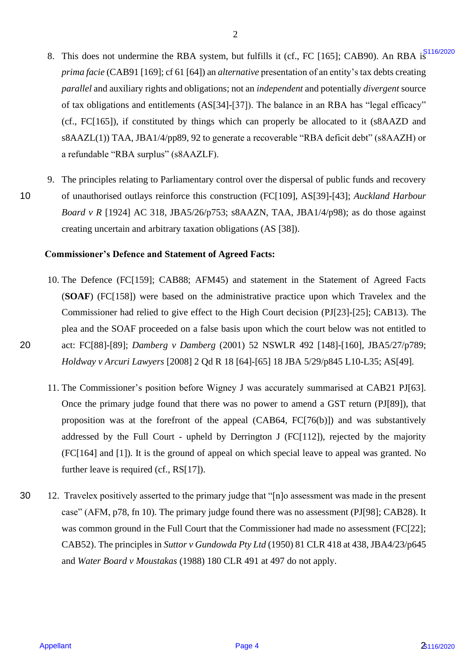- 8. This does not undermine the RBA system, but fulfills it (cf., FC [165]; CAB90). An RBA is  $s^{5116/2020}$ prima facie (CAB91 [169]; cf 61 [64]) an *alternative* presentation of an entity's tax debts creating *parallel* and auxiliary rights and obligations; not an *independent* and potentially *divergent* source parallel and auxiliary rights and obligations; not an independent and potentially divergent source of tax obligations and entitlements (AS[34]-[37]). The balance in an RBA has "legal efficacy" of tax obligations and entitlements (AS[34]-[37]). The balance in an RBA has "legal efficacy" (cf., FC[165]), if constituted by things which can properly be allocated to it (s8AAZD and (cf., FC[165]), if constituted by things which can properly be allocated to it (SSAAZD and s8AAZL(1)) TAA, JBA1/4/pp89, 92 to generate a recoverable "RBA deficit debt" (s8AAZH) or a refundable "RBA surplus" (s8AAZLF). <sup>a</sup> refundable "RBA surplus" (ssAAZLF). 3. This does not and<br>channing the RBA system. but firstlic (cf. F. (F1 (102) CABN). An RBA system and<br>power force, CABN [109] x (i) the system and independent of an entity's matches creating<br>powerform and entities and ent
- 9. The principles relating to Parliamentary control over the dispersal of public funds and recovery The principles relating to Parliamentary control over the dispersal of public funds and recovery 10 of unauthorised outlays reinforce this construction (FC[109], AS[39]-[43]; *Auckland Harbour*  of unauthorised outlays reinforce this construction (FC[109], AS[39]-[43]; Auckland Harbour *Board v R* [1924] AC 318, JBA5/26/p753; s8AAZN, TAA, JBA1/4/p98); as do those against Board v R [1924] AC 318, JBAS/26/p753; ssAAZN, TAA, JBA1/4/p98); as do those against creating uncertain and arbitrary taxation obligations (AS [38]). creating uncertain and arbitrary taxation obligations (AS [38]).

### **Commissioner's Defence and Statement of Agreed Facts:**  Commissioner's Defence and Statement of Agreed Facts:

- 10. The Defence (FC[159]; CAB88; AFM45) and statement in the Statement of Agreed Facts 10. The Defence (FC[159]; CAB88; AFM45) and statement in the Statement of Agreed Facts (**SOAF**) (FC[158]) were based on the administrative practice upon which Travelex and the (SOAF) (FC[158]) were based on the administrative practice upon which Travelex and the Commissioner had relied to give effect to the High Court decision (PJ[23]-[25]; CAB13). The Commissioner had relied to give effect to the High Court decision (PJ[23]-[25]; CAB13). The plea and the SOAF proceeded on a false basis upon which the court below was not entitled to plea and the SOAF proceeded on <sup>a</sup> false basis upon which the court below was not entitled to 20 act: FC[88]-[89]; *Damberg v Damberg* (2001) 52 NSWLR 492 [148]-[160], JBA5/27/p789; act: FC[88]-[89]; Damberg v Damberg (2001) 52 NSWLR 492 [148]-[160], JBA5/27/p789; *Holdway v Arcuri Lawyers* [2008] 2 Qd R 18 [64]-[65] 18 JBA 5/29/p845 L10-L35; AS[49]. Holdway <sup>v</sup> Arcuri Lawyers [2008] 2 Qd R <sup>18</sup> [64]-[65] <sup>18</sup> JBA 5/29/p845 L10-L35; AS[49].
	- 11. The Commissioner's position before Wigney J was accurately summarised at CAB21 PJ[63]. 11. The Commissioner's position before Wigney J was accurately summarisedat CAB21 PJ[63]. Once the primary judge found that there was no power to amend a GST return (PJ[89]), that Once the primary judge found that there was no power to amend a GST return (PJ[89]), that proposition was at the forefront of the appeal (CAB64, FC[76(b)]) and was substantively proposition was at the forefront of the appeal (CAB64, FC[76(b)]) and was substantively addressed by the Full Court - upheld by Derrington J (FC[112]), rejected by the majority addressed by the Full Court - upheld by Derrington J (FC[112]), rejected by the majority (FC[164] and [1]). It is the ground of appeal on which special leave to appeal was granted. No (FC[164] and [1]). It is the ground of appeal on which special leave to appeal was granted. No further leave is required (cf., RS[17]). further leave is required (cf., RS[17]).
- 30 12. Travelex positively asserted to the primary judge that "[n]o assessment was made in the present 12. Travelex positively asserted to the primary judge that "[n]o assessment was made in the present case" (AFM, p78, fn 10). The primary judge found there was no assessment (PJ[98]; CAB28). It was common ground in the Full Court that the Commissioner had made no assessment (FC[22]; was common ground in the Full Court that the Commissioner had made no assessment (FC[22]; CAB52). The principles in *Suttor v Gundowda Pty Ltd* (1950) 81 CLR 418 at 438, JBA4/23/p645 CAB52). The principles in Suttor v Gundowda Pty Ltd (1950) 81 CLR <sup>418</sup> at 438, JBA4/23/p645 and *Water Board v Moustakas* (1988) 180 CLR 491 at 497 do not apply. and Water Board v Moustakas (1988) 180 CLR 491 at 497 do not apply. 30

10

20